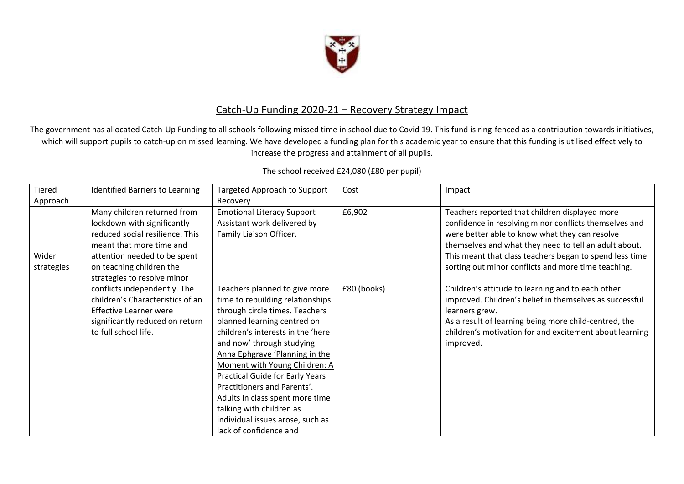

## Catch-Up Funding 2020-21 – Recovery Strategy Impact

The government has allocated Catch-Up Funding to all schools following missed time in school due to Covid 19. This fund is ring-fenced as a contribution towards initiatives, which will support pupils to catch-up on missed learning. We have developed a funding plan for this academic year to ensure that this funding is utilised effectively to increase the progress and attainment of all pupils.

| Tiered              | <b>Identified Barriers to Learning</b>                                                                                                                                                                                                               | <b>Targeted Approach to Support</b>                                                                                                                                                                                                                                                                                                                                                                                                          | Cost                  | Impact                                                                                                                                                                                                                                                                                                                                                                                     |
|---------------------|------------------------------------------------------------------------------------------------------------------------------------------------------------------------------------------------------------------------------------------------------|----------------------------------------------------------------------------------------------------------------------------------------------------------------------------------------------------------------------------------------------------------------------------------------------------------------------------------------------------------------------------------------------------------------------------------------------|-----------------------|--------------------------------------------------------------------------------------------------------------------------------------------------------------------------------------------------------------------------------------------------------------------------------------------------------------------------------------------------------------------------------------------|
| Approach            |                                                                                                                                                                                                                                                      | Recovery                                                                                                                                                                                                                                                                                                                                                                                                                                     |                       |                                                                                                                                                                                                                                                                                                                                                                                            |
| Wider<br>strategies | Many children returned from<br>lockdown with significantly<br>reduced social resilience. This<br>meant that more time and<br>attention needed to be spent<br>on teaching children the<br>strategies to resolve minor<br>conflicts independently. The | <b>Emotional Literacy Support</b><br>Assistant work delivered by<br>Family Liaison Officer.<br>Teachers planned to give more                                                                                                                                                                                                                                                                                                                 | £6,902<br>£80 (books) | Teachers reported that children displayed more<br>confidence in resolving minor conflicts themselves and<br>were better able to know what they can resolve<br>themselves and what they need to tell an adult about.<br>This meant that class teachers began to spend less time<br>sorting out minor conflicts and more time teaching.<br>Children's attitude to learning and to each other |
|                     | children's Characteristics of an<br>Effective Learner were<br>significantly reduced on return<br>to full school life.                                                                                                                                | time to rebuilding relationships<br>through circle times. Teachers<br>planned learning centred on<br>children's interests in the 'here<br>and now' through studying<br>Anna Ephgrave 'Planning in the<br>Moment with Young Children: A<br><b>Practical Guide for Early Years</b><br>Practitioners and Parents'.<br>Adults in class spent more time<br>talking with children as<br>individual issues arose, such as<br>lack of confidence and |                       | improved. Children's belief in themselves as successful<br>learners grew.<br>As a result of learning being more child-centred, the<br>children's motivation for and excitement about learning<br>improved.                                                                                                                                                                                 |

## The school received £24,080 (£80 per pupil)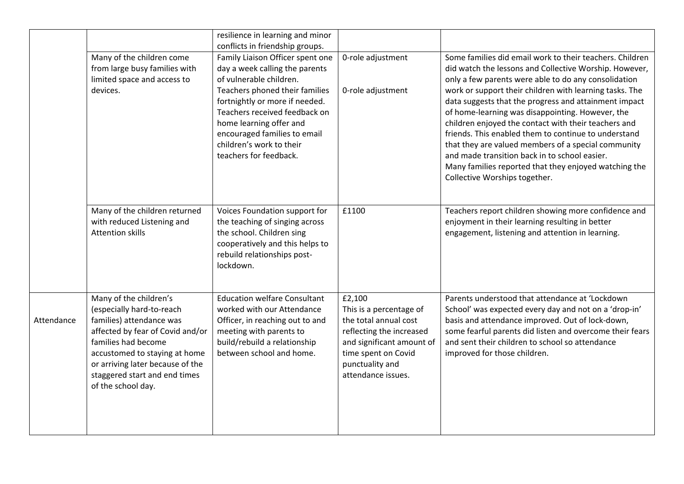|            | Many of the children come<br>from large busy families with<br>limited space and access to<br>devices.                                                                                                                                                                  | resilience in learning and minor<br>conflicts in friendship groups.<br>Family Liaison Officer spent one<br>day a week calling the parents<br>of vulnerable children.<br>Teachers phoned their families<br>fortnightly or more if needed.<br>Teachers received feedback on<br>home learning offer and<br>encouraged families to email<br>children's work to their<br>teachers for feedback. | 0-role adjustment<br>0-role adjustment                                                                                                                                              | Some families did email work to their teachers. Children<br>did watch the lessons and Collective Worship. However,<br>only a few parents were able to do any consolidation<br>work or support their children with learning tasks. The<br>data suggests that the progress and attainment impact<br>of home-learning was disappointing. However, the<br>children enjoyed the contact with their teachers and<br>friends. This enabled them to continue to understand<br>that they are valued members of a special community<br>and made transition back in to school easier. |
|------------|------------------------------------------------------------------------------------------------------------------------------------------------------------------------------------------------------------------------------------------------------------------------|--------------------------------------------------------------------------------------------------------------------------------------------------------------------------------------------------------------------------------------------------------------------------------------------------------------------------------------------------------------------------------------------|-------------------------------------------------------------------------------------------------------------------------------------------------------------------------------------|----------------------------------------------------------------------------------------------------------------------------------------------------------------------------------------------------------------------------------------------------------------------------------------------------------------------------------------------------------------------------------------------------------------------------------------------------------------------------------------------------------------------------------------------------------------------------|
|            |                                                                                                                                                                                                                                                                        |                                                                                                                                                                                                                                                                                                                                                                                            |                                                                                                                                                                                     | Many families reported that they enjoyed watching the<br>Collective Worships together.                                                                                                                                                                                                                                                                                                                                                                                                                                                                                     |
|            | Many of the children returned<br>with reduced Listening and<br><b>Attention skills</b>                                                                                                                                                                                 | Voices Foundation support for<br>the teaching of singing across<br>the school. Children sing<br>cooperatively and this helps to<br>rebuild relationships post-<br>lockdown.                                                                                                                                                                                                                | £1100                                                                                                                                                                               | Teachers report children showing more confidence and<br>enjoyment in their learning resulting in better<br>engagement, listening and attention in learning.                                                                                                                                                                                                                                                                                                                                                                                                                |
| Attendance | Many of the children's<br>(especially hard-to-reach<br>families) attendance was<br>affected by fear of Covid and/or<br>families had become<br>accustomed to staying at home<br>or arriving later because of the<br>staggered start and end times<br>of the school day. | <b>Education welfare Consultant</b><br>worked with our Attendance<br>Officer, in reaching out to and<br>meeting with parents to<br>build/rebuild a relationship<br>between school and home.                                                                                                                                                                                                | £2,100<br>This is a percentage of<br>the total annual cost<br>reflecting the increased<br>and significant amount of<br>time spent on Covid<br>punctuality and<br>attendance issues. | Parents understood that attendance at 'Lockdown<br>School' was expected every day and not on a 'drop-in'<br>basis and attendance improved. Out of lock-down,<br>some fearful parents did listen and overcome their fears<br>and sent their children to school so attendance<br>improved for those children.                                                                                                                                                                                                                                                                |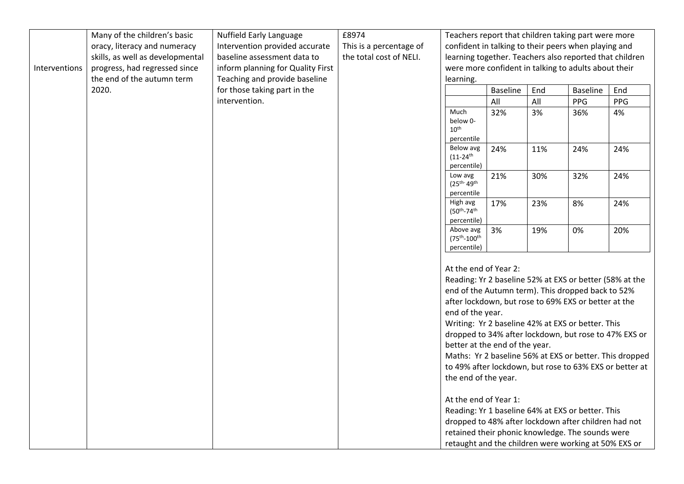|               | Many of the children's basic     | Nuffield Early Language           | £8974                   |                                                                                                                                                                                                                                                                                                                                                                                                                                                                                                                                                                                               |                 |     | Teachers report that children taking part were more                                                      |     |
|---------------|----------------------------------|-----------------------------------|-------------------------|-----------------------------------------------------------------------------------------------------------------------------------------------------------------------------------------------------------------------------------------------------------------------------------------------------------------------------------------------------------------------------------------------------------------------------------------------------------------------------------------------------------------------------------------------------------------------------------------------|-----------------|-----|----------------------------------------------------------------------------------------------------------|-----|
|               | oracy, literacy and numeracy     | Intervention provided accurate    | This is a percentage of |                                                                                                                                                                                                                                                                                                                                                                                                                                                                                                                                                                                               |                 |     | confident in talking to their peers when playing and                                                     |     |
|               | skills, as well as developmental | baseline assessment data to       | the total cost of NELI. |                                                                                                                                                                                                                                                                                                                                                                                                                                                                                                                                                                                               |                 |     | learning together. Teachers also reported that children                                                  |     |
| Interventions | progress, had regressed since    | inform planning for Quality First |                         |                                                                                                                                                                                                                                                                                                                                                                                                                                                                                                                                                                                               |                 |     | were more confident in talking to adults about their                                                     |     |
|               | the end of the autumn term       | Teaching and provide baseline     |                         | learning.                                                                                                                                                                                                                                                                                                                                                                                                                                                                                                                                                                                     |                 |     |                                                                                                          |     |
|               | 2020.                            | for those taking part in the      |                         |                                                                                                                                                                                                                                                                                                                                                                                                                                                                                                                                                                                               | <b>Baseline</b> | End | <b>Baseline</b>                                                                                          | End |
|               |                                  | intervention.                     |                         |                                                                                                                                                                                                                                                                                                                                                                                                                                                                                                                                                                                               | All             | All | PPG                                                                                                      | PPG |
|               |                                  |                                   |                         | Much<br>below 0-<br>10 <sup>th</sup><br>percentile                                                                                                                                                                                                                                                                                                                                                                                                                                                                                                                                            | 32%             | 3%  | 36%                                                                                                      | 4%  |
|               |                                  |                                   |                         | Below avg<br>$(11 - 24$ <sup>th</sup><br>percentile)                                                                                                                                                                                                                                                                                                                                                                                                                                                                                                                                          | 24%             | 11% | 24%                                                                                                      | 24% |
|               |                                  |                                   |                         | Low avg<br>$(25^{th-}49^{th}$                                                                                                                                                                                                                                                                                                                                                                                                                                                                                                                                                                 | 21%             | 30% | 32%                                                                                                      | 24% |
|               |                                  |                                   |                         | percentile                                                                                                                                                                                                                                                                                                                                                                                                                                                                                                                                                                                    |                 |     |                                                                                                          |     |
|               |                                  |                                   |                         | High avg<br>(50th-74th                                                                                                                                                                                                                                                                                                                                                                                                                                                                                                                                                                        | 17%             | 23% | 8%                                                                                                       | 24% |
|               |                                  |                                   |                         | percentile)                                                                                                                                                                                                                                                                                                                                                                                                                                                                                                                                                                                   |                 |     |                                                                                                          |     |
|               |                                  |                                   |                         | Above avg<br>(75 <sup>th</sup> -100 <sup>th</sup><br>percentile)                                                                                                                                                                                                                                                                                                                                                                                                                                                                                                                              | 3%              | 19% | 0%                                                                                                       | 20% |
|               |                                  |                                   |                         | At the end of Year 2:<br>Reading: Yr 2 baseline 52% at EXS or better (58% at the<br>end of the Autumn term). This dropped back to 52%<br>after lockdown, but rose to 69% EXS or better at the<br>end of the year.<br>Writing: Yr 2 baseline 42% at EXS or better. This<br>dropped to 34% after lockdown, but rose to 47% EXS or<br>better at the end of the year.<br>Maths: Yr 2 baseline 56% at EXS or better. This dropped<br>to 49% after lockdown, but rose to 63% EXS or better at<br>the end of the year.<br>At the end of Year 1:<br>Reading: Yr 1 baseline 64% at EXS or better. This |                 |     |                                                                                                          |     |
|               |                                  |                                   |                         |                                                                                                                                                                                                                                                                                                                                                                                                                                                                                                                                                                                               |                 |     | dropped to 48% after lockdown after children had not<br>retained their phonic knowledge. The sounds were |     |
|               |                                  |                                   |                         |                                                                                                                                                                                                                                                                                                                                                                                                                                                                                                                                                                                               |                 |     | retaught and the children were working at 50% EXS or                                                     |     |